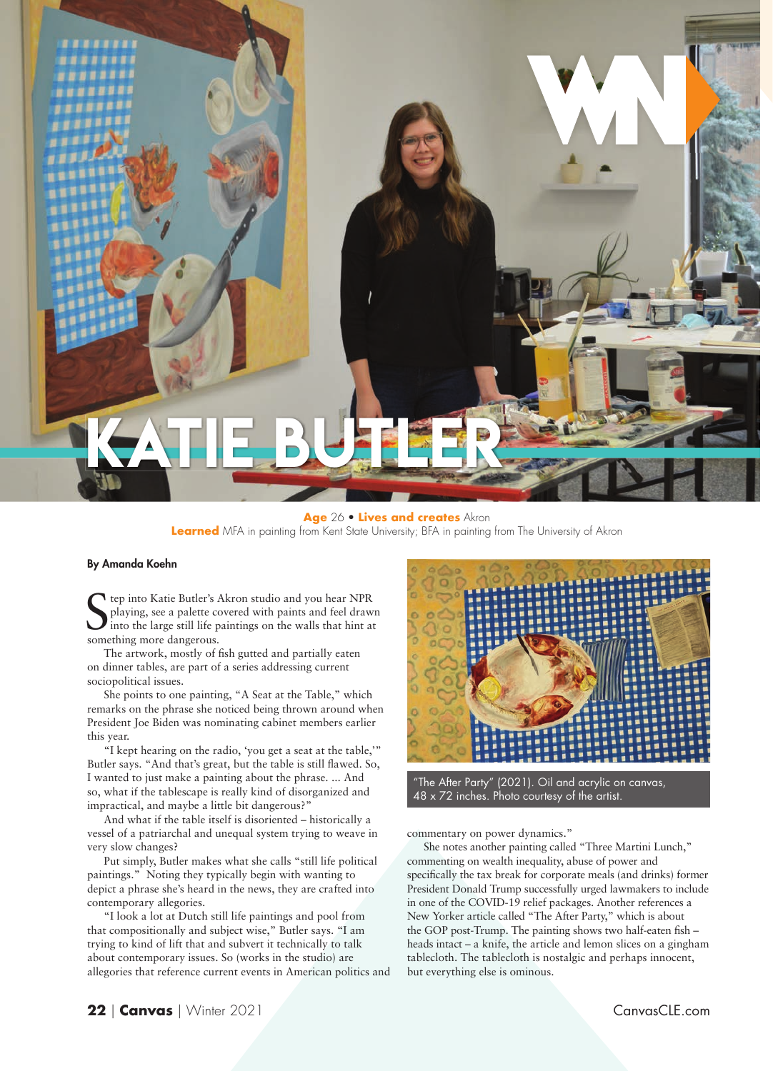

## **Age** 26 • **Lives and creates** Akron **Learned** MFA in painting from Kent State University; BFA in painting from The University of Akron

## By Amanda Koehn

Se tep into Katie Butler's *i*<br>playing, see a palette contour into the large still life p<br>something more dangerous. tep into Katie Butler's Akron studio and you hear NPR playing, see a palette covered with paints and feel drawn into the large still life paintings on the walls that hint at

The artwork, mostly of fish gutted and partially eaten on dinner tables, are part of a series addressing current sociopolitical issues.

She points to one painting, "A Seat at the Table," which remarks on the phrase she noticed being thrown around when President Joe Biden was nominating cabinet members earlier this year.

"I kept hearing on the radio, 'you get a seat at the table,'" Butler says. "And that's great, but the table is still flawed. So, I wanted to just make a painting about the phrase. ... And so, what if the tablescape is really kind of disorganized and impractical, and maybe a little bit dangerous?"

And what if the table itself is disoriented – historically a vessel of a patriarchal and unequal system trying to weave in very slow changes?

Put simply, Butler makes what she calls "still life political paintings." Noting they typically begin with wanting to depict a phrase she's heard in the news, they are crafted into contemporary allegories.

"I look a lot at Dutch still life paintings and pool from that compositionally and subject wise," Butler says. "I am trying to kind of lift that and subvert it technically to talk about contemporary issues. So (works in the studio) are allegories that reference current events in American politics and



"The After Party" (2021). Oil and acrylic on canvas, 48 x 72 inches. Photo courtesy of the artist.

commentary on power dynamics."

She notes another painting called "Three Martini Lunch," commenting on wealth inequality, abuse of power and specifically the tax break for corporate meals (and drinks) former President Donald Trump successfully urged lawmakers to include in one of the COVID-19 relief packages. Another references a New Yorker article called "The After Party," which is about the GOP post-Trump. The painting shows two half-eaten fish heads intact – a knife, the article and lemon slices on a gingham tablecloth. The tablecloth is nostalgic and perhaps innocent, but everything else is ominous.